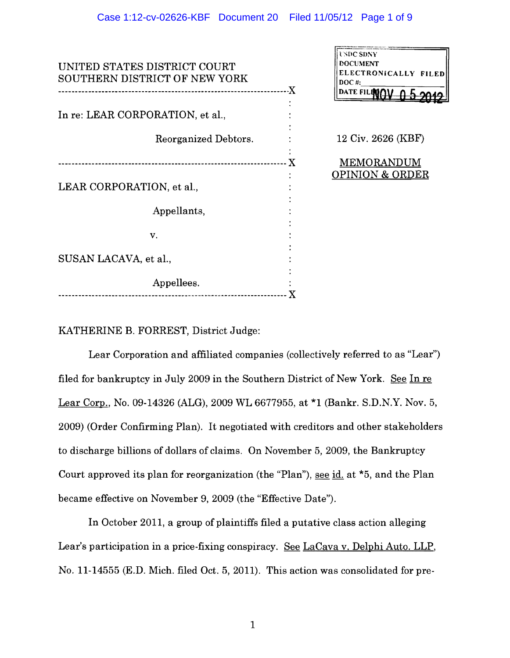| UNITED STATES DISTRICT COURT<br>SOUTHERN DISTRICT OF NEW YORK |   | USDC SDNY<br><b>DOCUMENT</b><br>ELECTRONICALLY FILED |  |
|---------------------------------------------------------------|---|------------------------------------------------------|--|
| ------------------X                                           |   | $DOC$ #:<br>DATE FILEMAV                             |  |
| In re: LEAR CORPORATION, et al.,                              |   |                                                      |  |
| Reorganized Debtors.                                          |   | 12 Civ. 2626 (KBF)                                   |  |
|                                                               | X | MEMORANDUM                                           |  |
| LEAR CORPORATION, et al.,                                     |   | <b>OPINION &amp; ORDER</b>                           |  |
| Appellants,                                                   |   |                                                      |  |
| V.                                                            |   |                                                      |  |
| SUSAN LACAVA, et al.,                                         |   |                                                      |  |
| Appellees.                                                    |   |                                                      |  |
|                                                               |   |                                                      |  |

# KATHERINE B. FORREST, District Judge:

Lear Corporation and affiliated companies (collectively referred to as "Lear") filed for bankruptcy in July 2009 in the Southern District of New York. See In re Lear Corp., No. 09·14326 (ALG), 2009 WL 6677955, at \*1 (Bankr. S.D.N.Y. Nov. 5, 2009) (Order Confirming Plan). It negotiated with creditors and other stakeholders to discharge billions of dollars of claims. On November 5, 2009, the Bankruptcy Court approved its plan for reorganization (the "Plan"), see id. at \*5, and the Plan became effective on November 9,2009 (the "Effective Date").

In October 2011, a group of plaintiffs filed a putative class action alleging Lear's participation in a price-fixing conspiracy. See LaCava v. Delphi Auto. LLP, No. 11·14555 (E.D. Mich. filed Oct. 5, 2011). This action was consolidated for pre·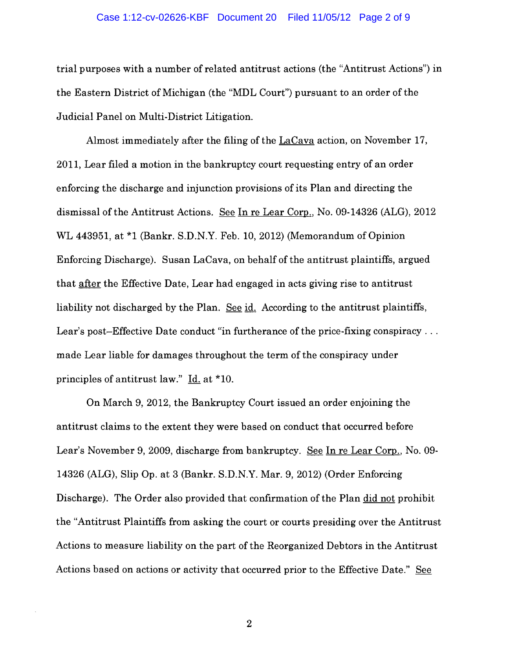### Case 1:12-cv-02626-KBF Document 20 Filed 11/05/12 Page 2 of 9

trial purposes with a number of related antitrust actions (the "Antitrust Actions") in the Eastern District of Michigan (the "MDL Court") pursuant to an order of the Judicial Panel on Multi-District Litigation.

Almost immediately after the filing of the LaCava action, on November 17, 2011, Lear filed a motion in the bankruptcy court requesting entry of an order enforcing the discharge and injunction provisions of its Plan and directing the dismissal of the Antitrust Actions. See In re Lear Corp., No. 09-14326 (ALG), 2012 WL 443951, at \*1 (Bankr. S.D.N.Y. Feb. 10, 2012) (Memorandum of Opinion Enforcing Discharge). Susan LaCava, on behalf of the antitrust plaintiffs, argued that after the Effective Date, Lear had engaged in acts giving rise to antitrust liability not discharged by the Plan. See id. According to the antitrust plaintiffs, Lear's post-Effective Date conduct "in furtherance of the price-fixing conspiracy... made Lear liable for damages throughout the term of the conspiracy under principles of antitrust law." Id. at \*10.

On March 9,2012, the Bankruptcy Court issued an order enjoining the antitrust claims to the extent they were based on conduct that occurred before Lear's November 9, 2009, discharge from bankruptcy. See In re Lear Corp., No. 09-14326 (ALG), Slip Op. at 3 (Bankr. S.D.N.Y. Mar. 9, 2012) (Order Enforcing Discharge). The Order also provided that confirmation of the Plan did not prohibit the "Antitrust Plaintiffs from asking the court or courts presiding over the Antitrust Actions to measure liability on the part of the Reorganized Debtors in the Antitrust Actions based on actions or activity that occurred prior to the Effective Date." See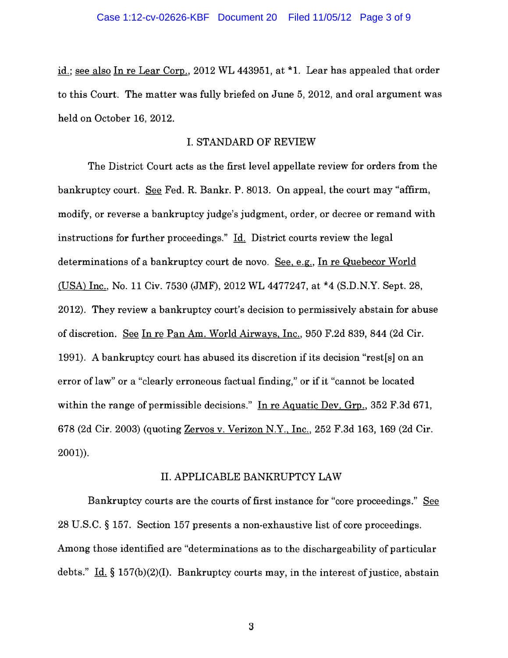id.; see also In re Lear Corp., 2012 WL 443951, at \*1. Lear has appealed that order to this Court. The matter was fully briefed on June 5, 2012, and oral argument was held on October 16, 2012.

## I. STANDARD OF REVIEW

The District Court acts as the first level appellate review for orders from the bankruptcy court. See Fed. R. Bankr. P. 8013. On appeal, the court may "affirm, modify, or reverse a bankruptcy judge's judgment, order, or decree or remand with instructions for further proceedings." Id. District courts review the legal determinations of a bankruptcy court de novo. See, e.g., In re Quebecor World (USA) Inc., No. 11 Civ. 7530 (JMF), 2012 WL 4477247, at \*4 (S.D.N.Y. Sept. 28, 2012). They review a bankruptcy court's decision to permissively abstain for abuse of discretion. See In re Pan Am. World Airways, Inc., 950 F.2d 839, 844 (2d Cir. 1991). A bankruptcy court has abused its discretion if its decision "rest[s] on an error of law" or a "clearly erroneous factual finding," or if it "cannot be located within the range of permissible decisions." In re Aquatic Dev. Grp., 352 F.3d 671, 678 (2d Cir. 2003) (quoting Zervos v. Verizon N.Y., Inc., 252 F.3d 163, 169 (2d Cir.  $2001)$ ).

## II. APPLICABLE BANKRUPTCY LAW

Bankruptcy courts are the courts of first instance for "core proceedings." See 28 U.S.C. § 157. Section 157 presents a non-exhaustive list of core proceedings. Among those identified are "determinations as to the discharge ability of particular debts." Id. § 157(b)(2)(I). Bankruptcy courts may, in the interest of justice, abstain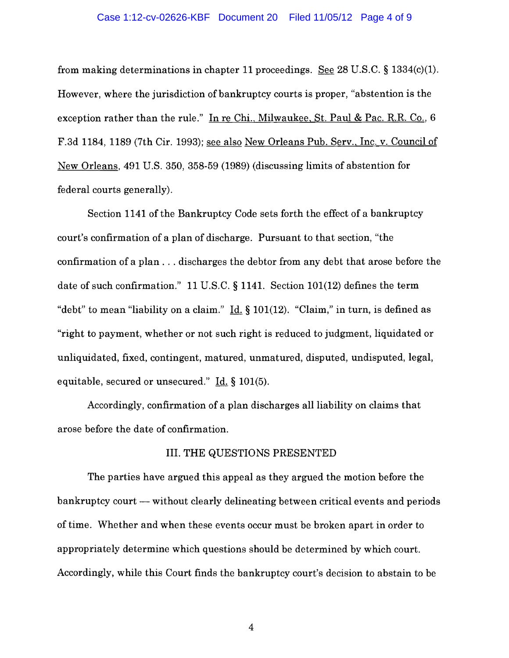### Case 1:12-cv-02626-KBF Document 20 Filed 11/05/12 Page 4 of 9

from making determinations in chapter 11 proceedings. See 28 U.S.C. § 1334(c)(I). However, where the jurisdiction of bankruptcy courts is proper, "abstention is the exception rather than the rule." In re Chi., Milwaukee, St. Paul & Pac. R.R. Co.,  $6$ F.3d 1184, 1189 (7th Cir. 1993); see also New Orleans Pub. Serv., Inc. v. Council of New Orleans, 491 U.s. 350, 358-59 (1989) (discussing limits of abstention for federal courts generally).

Section 1141 of the Bankruptcy Code sets forth the effect of a bankruptcy court's confirmation of a plan of discharge. Pursuant to that section, "the confirmation of a plan ... discharges the debtor from any debt that arose before the date of such confirmation." 11 U.S.C. § 1141. Section 101(12) defines the term "debt" to mean "liability on a claim." Id. § 101(12). "Claim," in turn, is defined as "right to payment, whether or not such right is reduced to judgment, liquidated or unliquidated, fixed, contingent, matured, unmatured, disputed, undisputed, legal, equitable, secured or unsecured." Id. § 101(5).

Accordingly, confirmation of a plan discharges all liability on claims that arose before the date of confirmation.

### III. THE QUESTIONS PRESENTED

The parties have argued this appeal as they argued the motion before the bankruptcy court — without clearly delineating between critical events and periods of time. Whether and when these events occur must be broken apart in order to appropriately determine which questions should be determined by which court. Accordingly, while this Court finds the bankruptcy court's decision to abstain to be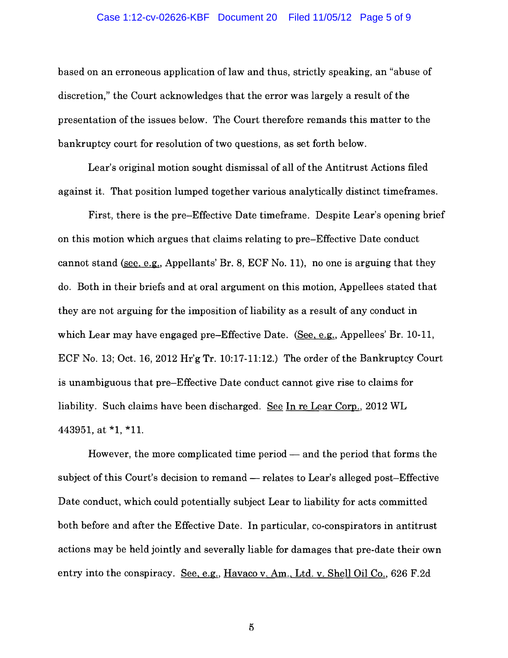# Case 1:12-cv-02626-KBF Document 20 Filed 11/05/12 Page 5 of 9

based on an erroneous application of law and thus, strictly speaking, an "abuse of discretion," the Court acknowledges that the error was largely a result of the presentation of the issues below. The Court therefore remands this matter to the bankruptcy court for resolution of two questions, as set forth below.

Lear's original motion sought dismissal of all of the Antitrust Actions filed against it. That position lumped together various analytically distinct timeframes.

First, there is the pre-Effective Date timeframe. Despite Lear's opening brief on this motion which argues that claims relating to pre-Effective Date conduct cannot stand (see, e.g., Appellants' Br. 8, ECF No. 11), no one is arguing that they do. Both in their briefs and at oral argument on this motion, Appellees stated that they are not arguing for the imposition of liability as a result of any conduct in which Lear may have engaged pre-Effective Date. (See, e.g., Appellees' Br. 10-11, ECF No. 13; Oct. 16, 2012 Hr'g Tr. 10:17-11:12.) The order of the Bankruptcy Court is unambiguous that pre-Effective Date conduct cannot give rise to claims for liability. Such claims have been discharged. See In re Lear Corp., 2012 WL 443951, at \*1, \*11.

However, the more complicated time period  $-$  and the period that forms the subject of this Court's decision to remand — relates to Lear's alleged post-Effective Date conduct, which could potentially subject Lear to liability for acts committed both before and after the Effective Date. In particular, co-conspirators in antitrust actions may be held jointly and severally liable for damages that pre-date their own entry into the conspiracy. See, e.g., Havaco v. Am., Ltd. v. Shell Oil Co., 626 F.2d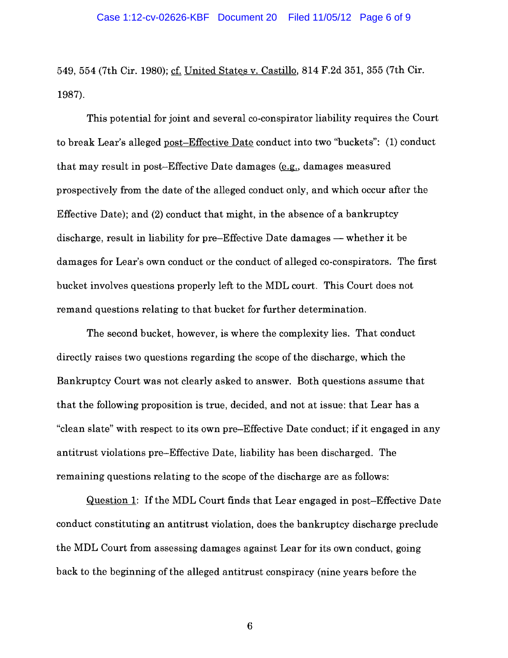549, 554 (7th Cir. 1980); cf. United States v. Castillo, 814 F.2d 351, 355 (7th Cir. 1987).

This potential for joint and several co-conspirator liability requires the Court to break Lear's alleged post-Effective Date conduct into two "buckets": (1) conduct that may result in post-Effective Date damages  $(e.g.,$  damages measured prospectively from the date of the alleged conduct only, and which occur after the Effective Date); and (2) conduct that might, in the absence of a bankruptcy discharge, result in liability for pre-Effective Date damages  $-$  whether it be damages for Lear's own conduct or the conduct of alleged co-conspirators. The first bucket involves questions properly left to the MDL court. This Court does not remand questions relating to that bucket for further determination.

The second bucket, however, is where the complexity lies. That conduct directly raises two questions regarding the scope of the discharge, which the Bankruptcy Court was not clearly asked to answer. Both questions assume that that the following proposition is true, decided, and not at issue: that Lear has a "clean slate" with respect to its own pre-Effective Date conduct; if it engaged in any antitrust violations pre-Effective Date, liability has been discharged. The remaining questions relating to the scope of the discharge are as follows:

Question 1: Ifthe MDL Court finds that Lear engaged in post-Effective Date conduct constituting an antitrust violation, does the bankruptcy discharge preclude the MDL Court from assessing damages against Lear for its own conduct, going back to the beginning of the alleged antitrust conspiracy (nine years before the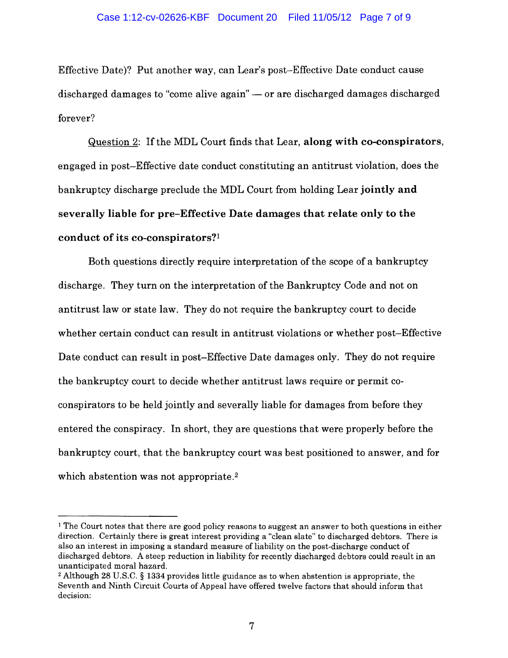### Case 1:12-cv-02626-KBF Document 20 Filed 11/05/12 Page 7 of 9

Effective Date)? Put another way, can Lear's post-Effective Date conduct cause discharged damages to "come alive again" - or are discharged damages discharged forever?

Question 2: If the MDL Court finds that Lear, along with co-conspirators, engaged in post-Effective date conduct constituting an antitrust violation, does the bankruptcy discharge preclude the MDL Court from holding Lear jointly and severally liable for pre-Effective Date damages that relate only to the conduct of its co-conspirators?l

Both questions directly require interpretation of the scope of a bankruptcy discharge. They turn on the interpretation of the Bankruptcy Code and not on antitrust law or state law. They do not require the bankruptcy court to decide whether certain conduct can result in antitrust violations or whether post-Effective Date conduct can result in post-Effective Date damages only. They do not require the bankruptcy court to decide whether antitrust laws require or permit coconspirators to be held jointly and severally liable for damages from before they entered the conspiracy. In short, they are questions that were properly before the bankruptcy court, that the bankruptcy court was best positioned to answer, and for which abstention was not appropriate.<sup>2</sup>

<sup>&</sup>lt;sup>1</sup> The Court notes that there are good policy reasons to suggest an answer to both questions in either direction. Certainly there is great interest providing a "clean slate" to discharged debtors. There is also an interest in imposing a standard measure of liability on the post-discharge conduct of discharged debtors. A steep reduction in liability for recently discharged debtors could result in an unanticipated moral hazard.

<sup>2</sup>Although 28 U.S.C. § 1334 provides little guidance as to when abstention is appropriate, the Seventh and Ninth Circuit Courts of Appeal have offered twelve factors that should inform that decision: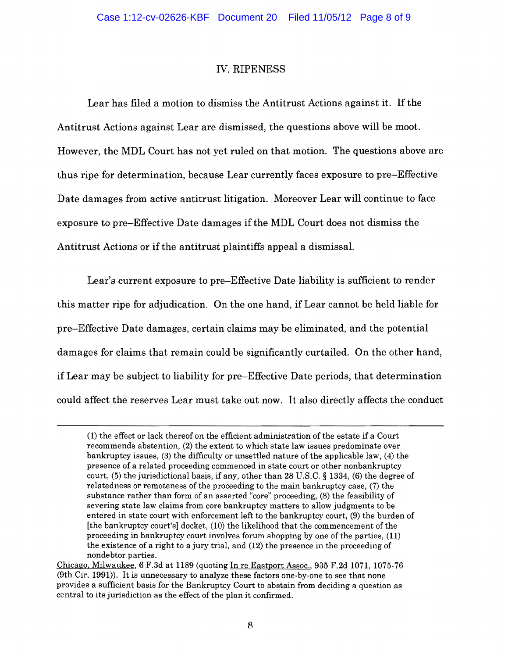## IV. RIPENESS

Lear has filed a motion to dismiss the Antitrust Actions against it. If the Antitrust Actions against Lear are dismissed, the questions above will be moot. However, the MDL Court has not yet ruled on that motion. The questions above are thus ripe for determination, because Lear currently faces exposure to pre-Effective Date damages from active antitrust litigation. Moreover Lear will continue to face exposure to pre-Effective Date damages ifthe MDL Court does not dismiss the Antitrust Actions or ifthe antitrust plaintiffs appeal a dismissal.

Lear's current exposure to pre-Effective Date liability is sufficient to render this matter ripe for adjudication. On the one hand, if Lear cannot be held liable for pre-Effective Date damages, certain claims may be eliminated, and the potential damages for claims that remain could be significantly curtailed. On the other hand, if Lear may be subject to liability for pre-Effective Date periods, that determination could affect the reserves Lear must take out now. It also directly affects the conduct

<sup>(1)</sup> the effect or lack thereof on the efficient administration of the estate if a Court recommends abstention, (2) the extent to which state law issues predominate over bankruptcy issues, (3) the difficulty or unsettled nature of the applicable law, (4) the presence of a related proceeding commenced in state court or other nonbankruptcy court, (5) the jurisdictional basis, if any, other than 28 U.S.C. § 1334, (6) the degree of relatedness or remoteness of the proceeding to the main bankruptcy case, (7) the substance rather than form of an asserted "core" proceeding, (8) the feasibility of severing state law claims from core bankruptcy matters to allow judgments to be entered in state court with enforcement left to the bankruptcy court, (9) the burden of [the bankruptcy court's] docket, (10) the likelihood that the commencement of the proceeding in bankruptcy court involves forum shopping by one of the parties, (11) the existence of a right to a jury trial, and (12) the presence in the proceeding of nondebtor parties.

Chicago. Milwaukee, 6 F.3d at 1189 (quoting In re Eastport Assoc., 935 F.2d 1071, 1075·76 (9th Cir. 1991)). It is unnecessary to analyze these factors one-by-one to see that none provides a sufficient basis for the Bankruptcy Court to abstain from deciding a question as central to its jurisdiction as the effect of the plan it confirmed.